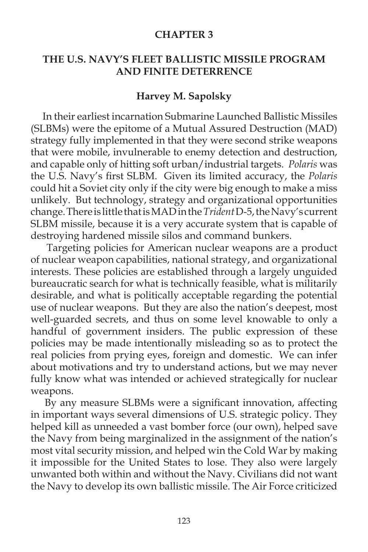#### **CHAPTER 3**

### **THE U.S. NAVY'S FLEET BALLISTIC MISSILE PROGRAM AND FINITE DETERRENCE**

#### **Harvey M. Sapolsky**

 In their earliest incarnation Submarine Launched Ballistic Missiles (SLBMs) were the epitome of a Mutual Assured Destruction (MAD) strategy fully implemented in that they were second strike weapons that were mobile, invulnerable to enemy detection and destruction, and capable only of hitting soft urban/industrial targets. *Polaris* was the U.S. Navy's first SLBM. Given its limited accuracy, the *Polaris* could hit a Soviet city only if the city were big enough to make a miss unlikely. But technology, strategy and organizational opportunities change. There is little that is MAD in the *Trident* D-5, the Navy's current SLBM missile, because it is a very accurate system that is capable of destroying hardened missile silos and command bunkers.

 Targeting policies for American nuclear weapons are a product of nuclear weapon capabilities, national strategy, and organizational interests. These policies are established through a largely unguided bureaucratic search for what is technically feasible, what is militarily desirable, and what is politically acceptable regarding the potential use of nuclear weapons. But they are also the nation's deepest, most well-guarded secrets, and thus on some level knowable to only a handful of government insiders. The public expression of these policies may be made intentionally misleading so as to protect the real policies from prying eyes, foreign and domestic. We can infer about motivations and try to understand actions, but we may never fully know what was intended or achieved strategically for nuclear weapons.

By any measure SLBMs were a significant innovation, affecting in important ways several dimensions of U.S. strategic policy. They helped kill as unneeded a vast bomber force (our own), helped save the Navy from being marginalized in the assignment of the nation's most vital security mission, and helped win the Cold War by making it impossible for the United States to lose. They also were largely unwanted both within and without the Navy. Civilians did not want the Navy to develop its own ballistic missile. The Air Force criticized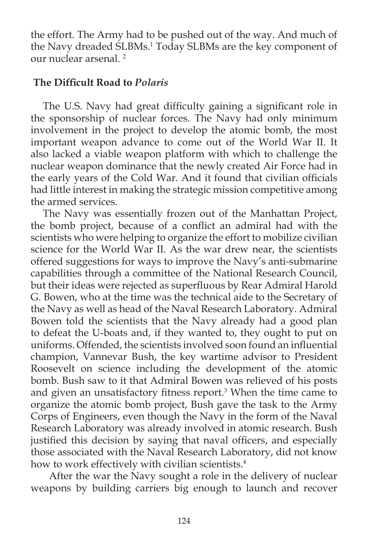the effort. The Army had to be pushed out of the way. And much of the Navy dreaded SLBMs.<sup>1</sup> Today SLBMs are the key component of our nuclear arsenal. 2

# *The Difficult Road to Polaris*

The U.S. Navy had great difficulty gaining a significant role in the sponsorship of nuclear forces. The Navy had only minimum involvement in the project to develop the atomic bomb, the most important weapon advance to come out of the World War II. It also lacked a viable weapon platform with which to challenge the nuclear weapon dominance that the newly created Air Force had in the early years of the Cold War. And it found that civilian officials had little interest in making the strategic mission competitive among the armed services.

The Navy was essentially frozen out of the Manhattan Project, the bomb project, because of a conflict an admiral had with the scientists who were helping to organize the effort to mobilize civilian science for the World War II. As the war drew near, the scientists offered suggestions for ways to improve the Navy's anti-submarine capabilities through a committee of the National Research Council, but their ideas were rejected as superfluous by Rear Admiral Harold G. Bowen, who at the time was the technical aide to the Secretary of the Navy as well as head of the Naval Research Laboratory. Admiral Bowen told the scientists that the Navy already had a good plan to defeat the U-boats and, if they wanted to, they ought to put on uniforms. Offended, the scientists involved soon found an influential champion, Vannevar Bush, the key wartime advisor to President Roosevelt on science including the development of the atomic bomb. Bush saw to it that Admiral Bowen was relieved of his posts and given an unsatisfactory fitness report.<sup>3</sup> When the time came to organize the atomic bomb project, Bush gave the task to the Army Corps of Engineers, even though the Navy in the form of the Naval Research Laboratory was already involved in atomic research. Bush justified this decision by saying that naval officers, and especially those associated with the Naval Research Laboratory, did not know how to work effectively with civilian scientists.<sup>4</sup>

 After the war the Navy sought a role in the delivery of nuclear weapons by building carriers big enough to launch and recover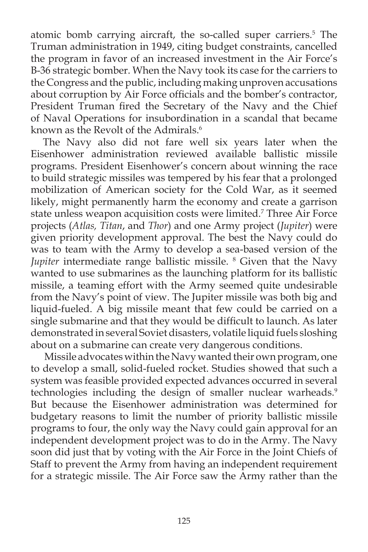atomic bomb carrying aircraft, the so-called super carriers.5 The Truman administration in 1949, citing budget constraints, cancelled the program in favor of an increased investment in the Air Force's B-36 strategic bomber. When the Navy took its case for the carriers to the Congress and the public, including making unproven accusations about corruption by Air Force officials and the bomber's contractor, President Truman fired the Secretary of the Navy and the Chief of Naval Operations for insubordination in a scandal that became known as the Revolt of the Admirals.<sup>6</sup>

The Navy also did not fare well six years later when the Eisenhower administration reviewed available ballistic missile programs. President Eisenhower's concern about winning the race to build strategic missiles was tempered by his fear that a prolonged mobilization of American society for the Cold War, as it seemed likely, might permanently harm the economy and create a garrison state unless weapon acquisition costs were limited.7 Three Air Force projects (Atlas, Titan, and *Thor*) and one Army project (*Jupiter*) were given priority development approval. The best the Navy could do was to team with the Army to develop a sea-based version of the *Jupiter* intermediate range ballistic missile. <sup>8</sup> Given that the Navy wanted to use submarines as the launching platform for its ballistic missile, a teaming effort with the Army seemed quite undesirable from the Navy's point of view. The Jupiter missile was both big and liquid-fueled. A big missile meant that few could be carried on a single submarine and that they would be difficult to launch. As later demonstrated in several Soviet disasters, volatile liquid fuels sloshing about on a submarine can create very dangerous conditions.

 Missile advocates within the Navy wanted their own program, one to develop a small, solid-fueled rocket. Studies showed that such a system was feasible provided expected advances occurred in several technologies including the design of smaller nuclear warheads.<sup>9</sup> But because the Eisenhower administration was determined for budgetary reasons to limit the number of priority ballistic missile programs to four, the only way the Navy could gain approval for an independent development project was to do in the Army. The Navy soon did just that by voting with the Air Force in the Joint Chiefs of Staff to prevent the Army from having an independent requirement for a strategic missile. The Air Force saw the Army rather than the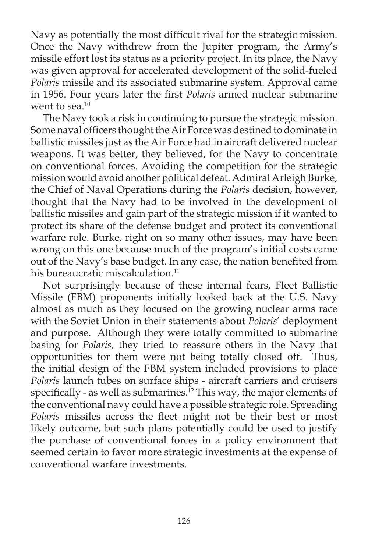Navy as potentially the most difficult rival for the strategic mission. Once the Navy withdrew from the Jupiter program, the Army's missile effort lost its status as a priority project. In its place, the Navy was given approval for accelerated development of the solid-fueled *Polaris* missile and its associated submarine system. Approval came in 1956. Four years later the first *Polaris* armed nuclear submarine went to sea. $10$ 

The Navy took a risk in continuing to pursue the strategic mission. Some naval officers thought the Air Force was destined to dominate in ballistic missiles just as the Air Force had in aircraft delivered nuclear weapons. It was better, they believed, for the Navy to concentrate on conventional forces. Avoiding the competition for the strategic mission would avoid another political defeat. Admiral Arleigh Burke, the Chief of Naval Operations during the *Polaris* decision, however, thought that the Navy had to be involved in the development of ballistic missiles and gain part of the strategic mission if it wanted to protect its share of the defense budget and protect its conventional warfare role. Burke, right on so many other issues, may have been wrong on this one because much of the program's initial costs came out of the Navy's base budget. In any case, the nation benefited from his bureaucratic miscalculation.<sup>11</sup>

Not surprisingly because of these internal fears, Fleet Ballistic Missile (FBM) proponents initially looked back at the U.S. Navy almost as much as they focused on the growing nuclear arms race with the Soviet Union in their statements about *Polaris*' deployment and purpose. Although they were totally committed to submarine basing for *Polaris*, they tried to reassure others in the Navy that opportunities for them were not being totally closed off. Thus, the initial design of the FBM system included provisions to place *Polaris* launch tubes on surface ships - aircraft carriers and cruisers specifically - as well as submarines.<sup>12</sup> This way, the major elements of the conventional navy could have a possible strategic role. Spreading Polaris missiles across the fleet might not be their best or most likely outcome, but such plans potentially could be used to justify the purchase of conventional forces in a policy environment that seemed certain to favor more strategic investments at the expense of conventional warfare investments.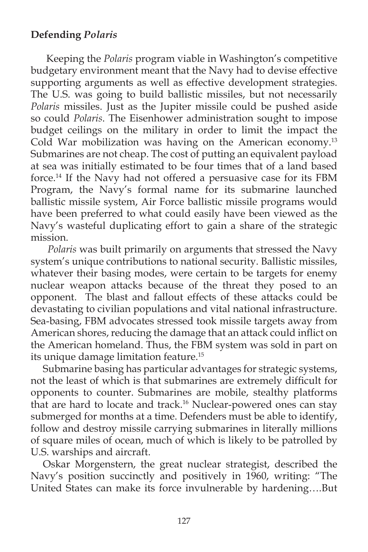# **Defending** *Polaris*

 Keeping the *Polaris* program viable in Washington's competitive budgetary environment meant that the Navy had to devise effective supporting arguments as well as effective development strategies. The U.S. was going to build ballistic missiles, but not necessarily *Polaris* missiles. Just as the Jupiter missile could be pushed aside so could *Polaris*. The Eisenhower administration sought to impose budget ceilings on the military in order to limit the impact the Cold War mobilization was having on the American economy.<sup>13</sup> Submarines are not cheap. The cost of putting an equivalent payload at sea was initially estimated to be four times that of a land based force.14 If the Navy had not offered a persuasive case for its FBM Program, the Navy's formal name for its submarine launched ballistic missile system, Air Force ballistic missile programs would have been preferred to what could easily have been viewed as the Navy's wasteful duplicating effort to gain a share of the strategic mission.

 *Polaris* was built primarily on arguments that stressed the Navy system's unique contributions to national security. Ballistic missiles, whatever their basing modes, were certain to be targets for enemy nuclear weapon attacks because of the threat they posed to an opponent. The blast and fallout effects of these attacks could be devastating to civilian populations and vital national infrastructure. Sea-basing, FBM advocates stressed took missile targets away from American shores, reducing the damage that an attack could inflict on the American homeland. Thus, the FBM system was sold in part on its unique damage limitation feature.15

 Submarine basing has particular advantages for strategic systems, not the least of which is that submarines are extremely difficult for opponents to counter. Submarines are mobile, stealthy platforms that are hard to locate and track.<sup>16</sup> Nuclear-powered ones can stay submerged for months at a time. Defenders must be able to identify, follow and destroy missile carrying submarines in literally millions of square miles of ocean, much of which is likely to be patrolled by U.S. warships and aircraft.

Oskar Morgenstern, the great nuclear strategist, described the Navy's position succinctly and positively in 1960, writing: "The United States can make its force invulnerable by hardening….But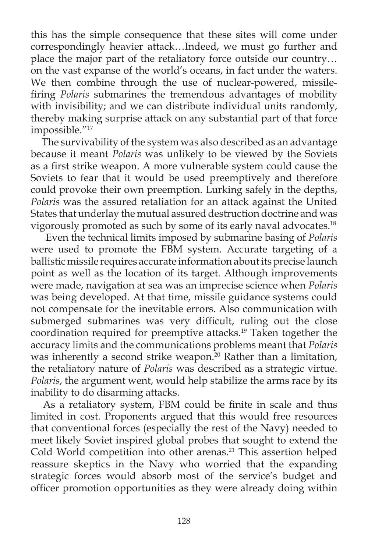this has the simple consequence that these sites will come under correspondingly heavier attack…Indeed, we must go further and place the major part of the retaliatory force outside our country… on the vast expanse of the world's oceans, in fact under the waters. We then combine through the use of nuclear-powered, missilefiring *Polaris* submarines the tremendous advantages of mobility with invisibility; and we can distribute individual units randomly, thereby making surprise attack on any substantial part of that force impossible."17

 The survivability of the system was also described as an advantage because it meant *Polaris* was unlikely to be viewed by the Soviets as a first strike weapon. A more vulnerable system could cause the Soviets to fear that it would be used preemptively and therefore could provoke their own preemption. Lurking safely in the depths, *Polaris* was the assured retaliation for an attack against the United States that underlay the mutual assured destruction doctrine and was vigorously promoted as such by some of its early naval advocates.18

 Even the technical limits imposed by submarine basing of *Polaris* were used to promote the FBM system. Accurate targeting of a ballistic missile requires accurate information about its precise launch point as well as the location of its target. Although improvements were made, navigation at sea was an imprecise science when *Polaris* was being developed. At that time, missile guidance systems could not compensate for the inevitable errors. Also communication with submerged submarines was very difficult, ruling out the close coordination required for preemptive attacks.19 Taken together the accuracy limits and the communications problems meant that *Polaris* was inherently a second strike weapon.<sup>20</sup> Rather than a limitation, the retaliatory nature of *Polaris* was described as a strategic virtue. *Polaris*, the argument went, would help stabilize the arms race by its inability to do disarming attacks.

As a retaliatory system, FBM could be finite in scale and thus limited in cost. Proponents argued that this would free resources that conventional forces (especially the rest of the Navy) needed to meet likely Soviet inspired global probes that sought to extend the Cold World competition into other arenas.<sup>21</sup> This assertion helped reassure skeptics in the Navy who worried that the expanding strategic forces would absorb most of the service's budget and officer promotion opportunities as they were already doing within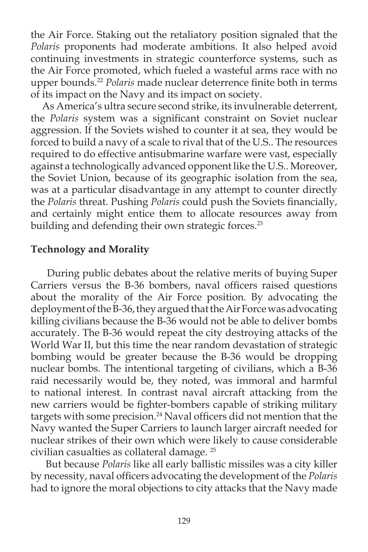the Air Force. Staking out the retaliatory position signaled that the *Polaris* proponents had moderate ambitions. It also helped avoid continuing investments in strategic counterforce systems, such as the Air Force promoted, which fueled a wasteful arms race with no upper bounds.<sup>22</sup> Polaris made nuclear deterrence finite both in terms of its impact on the Navy and its impact on society.

 As America's ultra secure second strike, its invulnerable deterrent, the *Polaris* system was a significant constraint on Soviet nuclear aggression. If the Soviets wished to counter it at sea, they would be forced to build a navy of a scale to rival that of the U.S.. The resources required to do effective antisubmarine warfare were vast, especially against a technologically advanced opponent like the U.S.. Moreover, the Soviet Union, because of its geographic isolation from the sea, was at a particular disadvantage in any attempt to counter directly the *Polaris* threat. Pushing *Polaris* could push the Soviets financially, and certainly might entice them to allocate resources away from building and defending their own strategic forces.<sup>23</sup>

#### **Technology and Morality**

 During public debates about the relative merits of buying Super Carriers versus the B-36 bombers, naval officers raised questions about the morality of the Air Force position. By advocating the deployment of the B-36, they argued that the Air Force was advocating killing civilians because the B-36 would not be able to deliver bombs accurately. The B-36 would repeat the city destroying attacks of the World War II, but this time the near random devastation of strategic bombing would be greater because the B-36 would be dropping nuclear bombs. The intentional targeting of civilians, which a B-36 raid necessarily would be, they noted, was immoral and harmful to national interest. In contrast naval aircraft attacking from the new carriers would be fighter-bombers capable of striking military targets with some precision.<sup>24</sup> Naval officers did not mention that the Navy wanted the Super Carriers to launch larger aircraft needed for nuclear strikes of their own which were likely to cause considerable civilian casualties as collateral damage. 25

 But because *Polaris* like all early ballistic missiles was a city killer by necessity, naval officers advocating the development of the *Polaris* had to ignore the moral objections to city attacks that the Navy made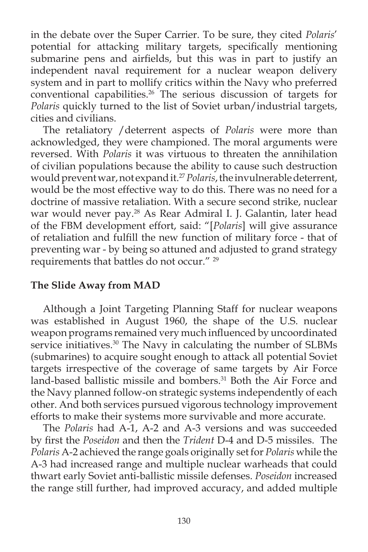in the debate over the Super Carrier. To be sure, they cited *Polaris*' potential for attacking military targets, specifically mentioning submarine pens and airfields, but this was in part to justify an independent naval requirement for a nuclear weapon delivery system and in part to mollify critics within the Navy who preferred conventional capabilities.<sup>26</sup> The serious discussion of targets for *Polaris* quickly turned to the list of Soviet urban/industrial targets, cities and civilians.

The retaliatory /deterrent aspects of *Polaris* were more than acknowledged, they were championed. The moral arguments were reversed. With *Polaris* it was virtuous to threaten the annihilation of civilian populations because the ability to cause such destruction would prevent war, not expand it.27*Polaris*, the invulnerable deterrent, would be the most effective way to do this. There was no need for a doctrine of massive retaliation. With a secure second strike, nuclear war would never pay.28 As Rear Admiral I. J. Galantin, later head of the FBM development effort, said: "[*Polaris*] will give assurance of retaliation and fulfill the new function of military force - that of preventing war - by being so attuned and adjusted to grand strategy requirements that battles do not occur." 29

# **The Slide Away from MAD**

Although a Joint Targeting Planning Staff for nuclear weapons was established in August 1960, the shape of the U.S. nuclear weapon programs remained very much influenced by uncoordinated service initiatives.<sup>30</sup> The Navy in calculating the number of SLBMs (submarines) to acquire sought enough to attack all potential Soviet targets irrespective of the coverage of same targets by Air Force land-based ballistic missile and bombers.<sup>31</sup> Both the Air Force and the Navy planned follow-on strategic systems independently of each other. And both services pursued vigorous technology improvement efforts to make their systems more survivable and more accurate.

The *Polaris* had A-1, A-2 and A-3 versions and was succeeded by first the *Poseidon* and then the *Trident* D-4 and D-5 missiles. The *Polaris* A-2 achieved the range goals originally set for *Polaris* while the A-3 had increased range and multiple nuclear warheads that could thwart early Soviet anti-ballistic missile defenses. *Poseidon* increased the range still further, had improved accuracy, and added multiple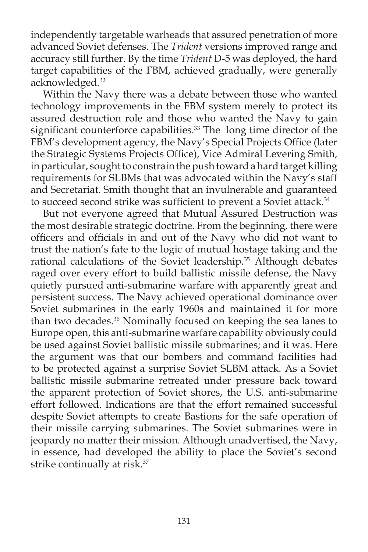independently targetable warheads that assured penetration of more advanced Soviet defenses. The *Trident* versions improved range and accuracy still further. By the time *Trident* D-5 was deployed, the hard target capabilities of the FBM, achieved gradually, were generally acknowledged.<sup>32</sup>

Within the Navy there was a debate between those who wanted technology improvements in the FBM system merely to protect its assured destruction role and those who wanted the Navy to gain significant counterforce capabilities.<sup>33</sup> The long time director of the FBM's development agency, the Navy's Special Projects Office (later the Strategic Systems Projects Office), Vice Admiral Levering Smith, in particular, sought to constrain the push toward a hard target killing requirements for SLBMs that was advocated within the Navy's staff and Secretariat. Smith thought that an invulnerable and guaranteed to succeed second strike was sufficient to prevent a Soviet attack.<sup>34</sup>

But not everyone agreed that Mutual Assured Destruction was the most desirable strategic doctrine. From the beginning, there were officers and officials in and out of the Navy who did not want to trust the nation's fate to the logic of mutual hostage taking and the rational calculations of the Soviet leadership.<sup>35</sup> Although debates raged over every effort to build ballistic missile defense, the Navy quietly pursued anti-submarine warfare with apparently great and persistent success. The Navy achieved operational dominance over Soviet submarines in the early 1960s and maintained it for more than two decades.36 Nominally focused on keeping the sea lanes to Europe open, this anti-submarine warfare capability obviously could be used against Soviet ballistic missile submarines; and it was. Here the argument was that our bombers and command facilities had to be protected against a surprise Soviet SLBM attack. As a Soviet ballistic missile submarine retreated under pressure back toward the apparent protection of Soviet shores, the U.S. anti-submarine effort followed. Indications are that the effort remained successful despite Soviet attempts to create Bastions for the safe operation of their missile carrying submarines. The Soviet submarines were in jeopardy no matter their mission. Although unadvertised, the Navy, in essence, had developed the ability to place the Soviet's second strike continually at risk.<sup>37</sup>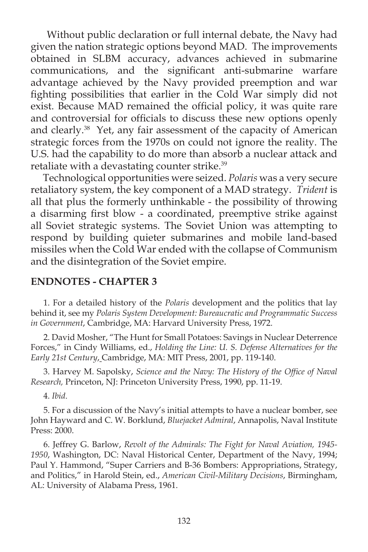Without public declaration or full internal debate, the Navy had given the nation strategic options beyond MAD. The improvements obtained in SLBM accuracy, advances achieved in submarine communications, and the significant anti-submarine warfare advantage achieved by the Navy provided preemption and war fighting possibilities that earlier in the Cold War simply did not exist. Because MAD remained the official policy, it was quite rare and controversial for officials to discuss these new options openly and clearly.<sup>38</sup> Yet, any fair assessment of the capacity of American strategic forces from the 1970s on could not ignore the reality. The U.S. had the capability to do more than absorb a nuclear attack and retaliate with a devastating counter strike.<sup>39</sup>

Technological opportunities were seized. *Polaris* was a very secure retaliatory system, the key component of a MAD strategy. *Trident* is all that plus the formerly unthinkable - the possibility of throwing a disarming first blow - a coordinated, preemptive strike against all Soviet strategic systems. The Soviet Union was attempting to respond by building quieter submarines and mobile land-based missiles when the Cold War ended with the collapse of Communism and the disintegration of the Soviet empire.

#### **ENDNOTES - CHAPTER 3**

1. For a detailed history of the *Polaris* development and the politics that lay behind it, see my *Polaris System Development: Bureaucratic and Programmatic Success in Government*, Cambridge, MA: Harvard University Press, 1972.

2. David Mosher, "The Hunt for Small Potatoes: Savings in Nuclear Deterrence Forces," in Cindy Williams, ed., *Holding the Line: U. S. Defense Alternatives for the Early 21st Century*, Cambridge, MA: MIT Press, 2001, pp. 119-140.

3. Harvey M. Sapolsky, *Science and the Navy: The History of the Office of Naval Research,* Princeton, NJ: Princeton University Press, 1990, pp. 11-19.

4. *Ibid*.

5. For a discussion of the Navy's initial attempts to have a nuclear bomber, see John Hayward and C. W. Borklund, *Bluejacket Admiral*, Annapolis, Naval Institute Press: 2000.

6. Jeffrey G. Barlow, *Revolt of the Admirals: The Fight for Naval Aviation, 1945- 1950*, Washington, DC: Naval Historical Center, Department of the Navy, 1994; Paul Y. Hammond, "Super Carriers and B-36 Bombers: Appropriations, Strategy, and Politics," in Harold Stein, ed., *American Civil-Military Decisions*, Birmingham, AL: University of Alabama Press, 1961.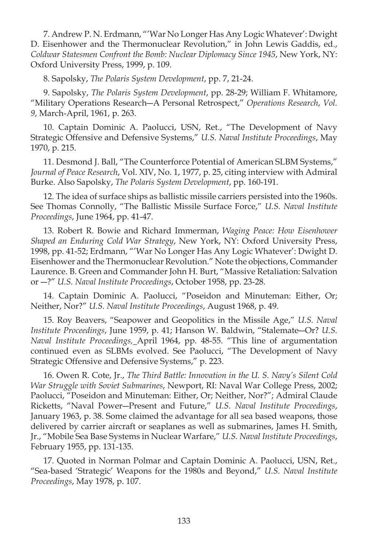7. Andrew P. N. Erdmann, "'War No Longer Has Any Logic Whatever': Dwight D. Eisenhower and the Thermonuclear Revolution," in John Lewis Gaddis, ed., *Coldwar Statesmen Confront the Bomb: Nuclear Diplomacy Since 1945*, New York, NY: Oxford University Press, 1999, p. 109.

8. Sapolsky, *The Polaris System Development*, pp. 7, 21-24.

9. Sapolsky, *The Polaris System Development*, pp. 28-29; William F. Whitamore, "Military Operations Research―A Personal Retrospect," *Operations Research*, *Vol. 9*, March-April, 1961, p. 263.

10. Captain Dominic A. Paolucci, USN, Ret., "The Development of Navy Strategic Offensive and Defensive Systems," *U.S. Naval Institute Proceedings*, May 1970, p. 215.

11. Desmond J. Ball, "The Counterforce Potential of American SLBM Systems," *Journal of Peace Research*, Vol. XIV, No. 1, 1977, p. 25, citing interview with Admiral Burke. Also Sapolsky, *The Polaris System Development*, pp. 160-191.

12. The idea of surface ships as ballistic missile carriers persisted into the 1960s. See Thomas Connolly, "The Ballistic Missile Surface Force," *U.S. Naval Institute Proceedings*, June 1964, pp. 41-47.

13. Robert R. Bowie and Richard Immerman, *Waging Peace: How Eisenhower Shaped an Enduring Cold War Strategy*, New York, NY: Oxford University Press, 1998, pp. 41-52; Erdmann, "'War No Longer Has Any Logic Whatever': Dwight D. Eisenhower and the Thermonuclear Revolution." Note the objections, Commander Laurence. B. Green and Commander John H. Burt, "Massive Retaliation: Salvation or ―?" *U.S. Naval Institute Proceedings*, October 1958, pp. 23-28.

14. Captain Dominic A. Paolucci, "Poseidon and Minuteman: Either, Or; Neither, Nor?" *U.S. Naval Institute Proceedings*, August 1968, p. 49.

15. Roy Beavers, "Seapower and Geopolitics in the Missile Age," *U.S. Naval Institute Proceedings*, June 1959, p. 41; Hanson W. Baldwin, "Stalemate―Or? *U.S. Naval Institute Proceedings,* April 1964, pp. 48-55. "This line of argumentation continued even as SLBMs evolved. See Paolucci, "The Development of Navy Strategic Offensive and Defensive Systems," p. 223.

16. Owen R. Cote, Jr., *The Third Battle: Innovation in the U. S. Navy's Silent Cold War Struggle with Soviet Submarines*, Newport, RI: Naval War College Press, 2002; Paolucci, "Poseidon and Minuteman: Either, Or; Neither, Nor?"; Admiral Claude Ricketts, "Naval Power―Present and Future," *U.S. Naval Institute Proceedings*, January 1963, p. 38. Some claimed the advantage for all sea based weapons, those delivered by carrier aircraft or seaplanes as well as submarines, James H. Smith, Jr., "Mobile Sea Base Systems in Nuclear Warfare," *U.S. Naval Institute Proceedings*, February 1955, pp. 131-135.

17. Quoted in Norman Polmar and Captain Dominic A. Paolucci, USN, Ret., "Sea-based 'Strategic' Weapons for the 1980s and Beyond," *U.S. Naval Institute Proceedings*, May 1978, p. 107.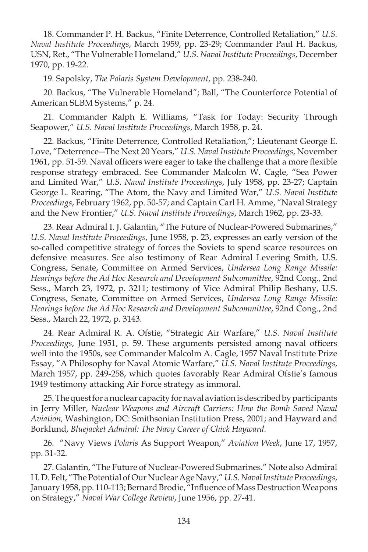18. Commander P. H. Backus, "Finite Deterrence, Controlled Retaliation," *U.S. Naval Institute Proceedings*, March 1959, pp. 23-29; Commander Paul H. Backus, USN, Ret., "The Vulnerable Homeland," *U.S. Naval Institute Proceedings*, December 1970, pp. 19-22.

19. Sapolsky, *The Polaris System Development*, pp. 238-240.

20. Backus, "The Vulnerable Homeland"; Ball, "The Counterforce Potential of American SLBM Systems," p. 24.

21. Commander Ralph E. Williams, "Task for Today: Security Through Seapower," *U.S. Naval Institute Proceedings*, March 1958, p. 24.

22. Backus, "Finite Deterrence, Controlled Retaliation,"; Lieutenant George E. Love, "Deterrence―The Next 20 Years," *U.S. Naval Institute Proceedings*, November 1961, pp. 51-59. Naval officers were eager to take the challenge that a more flexible response strategy embraced. See Commander Malcolm W. Cagle, "Sea Power and Limited War," *U.S. Naval Institute Proceedings*, July 1958, pp. 23-27; Captain George L. Rearing, "The Atom, the Navy and Limited War," *U.S. Naval Institute Proceedings*, February 1962, pp. 50-57; and Captain Carl H. Amme, "Naval Strategy and the New Frontier," *U.S. Naval Institute Proceedings*, March 1962, pp. 23-33.

23. Rear Admiral I. J. Galantin, "The Future of Nuclear-Powered Submarines," *U.S. Naval Institute Proceedings*, June 1958, p. 23, expresses an early version of the so-called competitive strategy of forces the Soviets to spend scarce resources on defensive measures. See also testimony of Rear Admiral Levering Smith, U.S. Congress, Senate, Committee on Armed Services, *Undersea Long Range Missile: Hearings before the Ad Hoc Research and Development Subcommittee*, 92nd Cong., 2nd Sess., March 23, 1972, p. 3211; testimony of Vice Admiral Philip Beshany, U.S. Congress, Senate, Committee on Armed Services, *Undersea Long Range Missile: Hearings before the Ad Hoc Research and Development Subcommittee*, 92nd Cong., 2nd Sess., March 22, 1972, p. 3143.

24. Rear Admiral R. A. Ofstie, "Strategic Air Warfare," *U.S. Naval Institute Proceedings*, June 1951, p. 59. These arguments persisted among naval officers well into the 1950s, see Commander Malcolm A. Cagle, 1957 Naval Institute Prize Essay, "A Philosophy for Naval Atomic Warfare," *U.S. Naval Institute Proceedings*, March 1957, pp. 249-258, which quotes favorably Rear Admiral Ofstie's famous 1949 testimony attacking Air Force strategy as immoral.

25. The quest for a nuclear capacity for naval aviation is described by participants in Jerry Miller, *Nuclear Weapons and Aircraft Carriers: How the Bomb Saved Naval Aviation,* Washington, DC: Smithsonian Institution Press, 2001; and Hayward and Borklund, *Bluejacket Admiral: The Navy Career of Chick Hayward*.

26. "Navy Views *Polaris* As Support Weapon," *Aviation Week*, June 17, 1957, pp. 31-32.

27. Galantin, "The Future of Nuclear-Powered Submarines." Note also Admiral H. D. Felt, "The Potential of Our Nuclear Age Navy," *U.S. Naval Institute Proceedings*, January 1958, pp. 110-113; Bernard Brodie, "Influence of Mass Destruction Weapons on Strategy," *Naval War College Review*, June 1956, pp. 27-41.